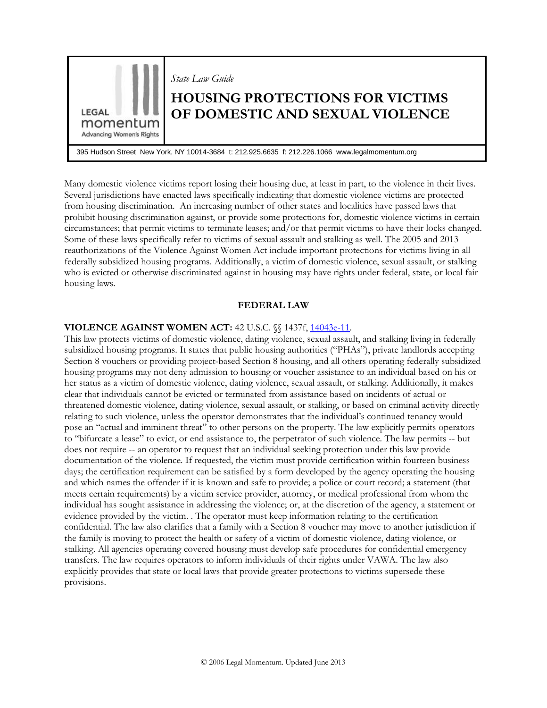

Many domestic violence victims report losing their housing due, at least in part, to the violence in their lives. Several jurisdictions have enacted laws specifically indicating that domestic violence victims are protected from housing discrimination. An increasing number of other states and localities have passed laws that prohibit housing discrimination against, or provide some protections for, domestic violence victims in certain circumstances; that permit victims to terminate leases; and/or that permit victims to have their locks changed. Some of these laws specifically refer to victims of sexual assault and stalking as well. The 2005 and 2013 reauthorizations of the Violence Against Women Act include important protections for victims living in all federally subsidized housing programs. Additionally, a victim of domestic violence, sexual assault, or stalking who is evicted or otherwise discriminated against in housing may have rights under federal, state, or local fair housing laws.

## **FEDERAL LAW**

#### **VIOLENCE AGAINST WOMEN ACT: 42 U.S.C.**  $\%$  **1437f, [14043e-11.](http://uscodebeta.house.gov/view.xhtml?req=granuleid:USC-prelim-title42-section14043e-11&num=0&edition=prelim)**

This law protects victims of domestic violence, dating violence, sexual assault, and stalking living in federally subsidized housing programs. It states that public housing authorities ("PHAs"), private landlords accepting Section 8 vouchers or providing project-based Section 8 housing, and all others operating federally subsidized housing programs may not deny admission to housing or voucher assistance to an individual based on his or her status as a victim of domestic violence, dating violence, sexual assault, or stalking. Additionally, it makes clear that individuals cannot be evicted or terminated from assistance based on incidents of actual or threatened domestic violence, dating violence, sexual assault, or stalking, or based on criminal activity directly relating to such violence, unless the operator demonstrates that the individual's continued tenancy would pose an "actual and imminent threat" to other persons on the property. The law explicitly permits operators to "bifurcate a lease" to evict, or end assistance to, the perpetrator of such violence. The law permits -- but does not require -- an operator to request that an individual seeking protection under this law provide documentation of the violence. If requested, the victim must provide certification within fourteen business days; the certification requirement can be satisfied by a form developed by the agency operating the housing and which names the offender if it is known and safe to provide; a police or court record; a statement (that meets certain requirements) by a victim service provider, attorney, or medical professional from whom the individual has sought assistance in addressing the violence; or, at the discretion of the agency, a statement or evidence provided by the victim. . The operator must keep information relating to the certification confidential. The law also clarifies that a family with a Section 8 voucher may move to another jurisdiction if the family is moving to protect the health or safety of a victim of domestic violence, dating violence, or stalking. All agencies operating covered housing must develop safe procedures for confidential emergency transfers. The law requires operators to inform individuals of their rights under VAWA. The law also explicitly provides that state or local laws that provide greater protections to victims supersede these provisions.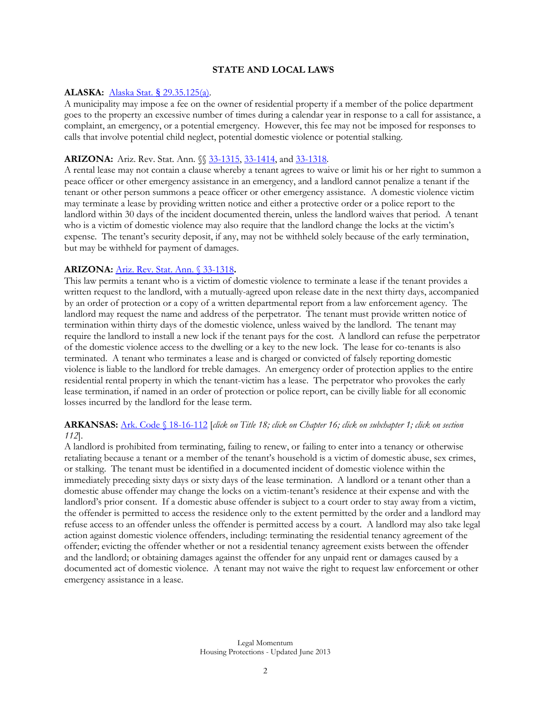## **STATE AND LOCAL LAWS**

#### **ALASKA:** Alaska Stat. § [29.35.125\(a\).](http://www.legis.state.ak.us/cgi-bin/folioisa.dll/stattx07/query=%5bjump!3A!27as2935125!27%5d/doc/%7B@13087%7D?)

A municipality may impose a fee on the owner of residential property if a member of the police department goes to the property an excessive number of times during a calendar year in response to a call for assistance, a complaint, an emergency, or a potential emergency. However, this fee may not be imposed for responses to calls that involve potential child neglect, potential domestic violence or potential stalking.

#### **ARIZONA:** Ariz. Rev. Stat. Ann.  $\sqrt{23} - 1315$ , [33-1414,](http://www.azleg.state.az.us/FormatDocument.asp?inDoc=/ars/33/01414.htm&Title=33&DocType=ARS) and [33-1318.](http://www.azleg.gov/FormatDocument.asp?inDoc=/ars/33/01318.htm&Title=33&DocType=ARS)

A rental lease may not contain a clause whereby a tenant agrees to waive or limit his or her right to summon a peace officer or other emergency assistance in an emergency, and a landlord cannot penalize a tenant if the tenant or other person summons a peace officer or other emergency assistance. A domestic violence victim may terminate a lease by providing written notice and either a protective order or a police report to the landlord within 30 days of the incident documented therein, unless the landlord waives that period. A tenant who is a victim of domestic violence may also require that the landlord change the locks at the victim's expense. The tenant's security deposit, if any, may not be withheld solely because of the early termination, but may be withheld for payment of damages.

#### **ARIZONA:** [Ariz. Rev. Stat. Ann. § 33-1318](http://www.azleg.state.az.us/FormatDocument.asp?inDoc=/ars/33/01318.htm&Title=33&DocType=ARS)**.**

This law permits a tenant who is a victim of domestic violence to terminate a lease if the tenant provides a written request to the landlord, with a mutually-agreed upon release date in the next thirty days, accompanied by an order of protection or a copy of a written departmental report from a law enforcement agency. The landlord may request the name and address of the perpetrator. The tenant must provide written notice of termination within thirty days of the domestic violence, unless waived by the landlord. The tenant may require the landlord to install a new lock if the tenant pays for the cost. A landlord can refuse the perpetrator of the domestic violence access to the dwelling or a key to the new lock. The lease for co-tenants is also terminated. A tenant who terminates a lease and is charged or convicted of falsely reporting domestic violence is liable to the landlord for treble damages. An emergency order of protection applies to the entire residential rental property in which the tenant-victim has a lease. The perpetrator who provokes the early lease termination, if named in an order of protection or police report, can be civilly liable for all economic losses incurred by the landlord for the lease term.

## **ARKANSAS:** [Ark. Code § 18-16-112](http://www.lexisnexis.com/hottopics/arcode/Default.asp) [*click on Title 18; click on Chapter 16; click on subchapter 1; click on section 112*].

A landlord is prohibited from terminating, failing to renew, or failing to enter into a tenancy or otherwise retaliating because a tenant or a member of the tenant's household is a victim of domestic abuse, sex crimes, or stalking. The tenant must be identified in a documented incident of domestic violence within the immediately preceding sixty days or sixty days of the lease termination. A landlord or a tenant other than a domestic abuse offender may change the locks on a victim-tenant's residence at their expense and with the landlord's prior consent. If a domestic abuse offender is subject to a court order to stay away from a victim, the offender is permitted to access the residence only to the extent permitted by the order and a landlord may refuse access to an offender unless the offender is permitted access by a court. A landlord may also take legal action against domestic violence offenders, including: terminating the residential tenancy agreement of the offender; evicting the offender whether or not a residential tenancy agreement exists between the offender and the landlord; or obtaining damages against the offender for any unpaid rent or damages caused by a documented act of domestic violence. A tenant may not waive the right to request law enforcement or other emergency assistance in a lease.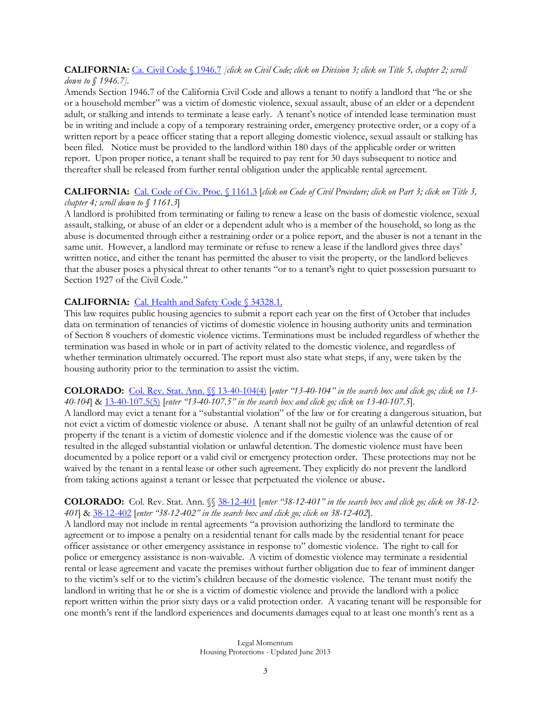#### **CALIFORNIA:** [Ca. Civil Code § 1946.7](http://leginfo.legislature.ca.gov/faces/codes.xhtml) *[click on Civil Code; click on Division 3; click on Title 5, chapter 2; scroll down to § 1946.7].*

Amends Section 1946.7 of the California Civil Code and allows a tenant to notify a landlord that "he or she or a household member" was a victim of domestic violence, sexual assault, abuse of an elder or a dependent adult, or stalking and intends to terminate a lease early. A tenant's notice of intended lease termination must be in writing and include a copy of a temporary restraining order, emergency protective order, or a copy of a written report by a peace officer stating that a report alleging domestic violence, sexual assault or stalking has been filed. Notice must be provided to the landlord within 180 days of the applicable order or written report. Upon proper notice, a tenant shall be required to pay rent for 30 days subsequent to notice and thereafter shall be released from further rental obligation under the applicable rental agreement.

# **CALIFORNIA:** [Cal. Code of Civ. Proc.](http://leginfo.legislature.ca.gov/faces/codes.xhtml) § 1161.3 [*click on Code of Civil Procedure; click on Part 3; click on Title 3,*

## *chapter 4; scroll down to § 1161.3*]

A landlord is prohibited from terminating or failing to renew a lease on the basis of domestic violence, sexual assault, stalking, or abuse of an elder or a dependent adult who is a member of the household, so long as the abuse is documented through either a restraining order or a police report, and the abuser is not a tenant in the same unit. However, a landlord may terminate or refuse to renew a lease if the landlord gives three days' written notice, and either the tenant has permitted the abuser to visit the property, or the landlord believes that the abuser poses a physical threat to other tenants "or to a tenant's right to quiet possession pursuant to Section 1927 of the Civil Code."

## CALIFORNIA: [Cal. Health and Safety Code § 34328.1.](http://www.leginfo.ca.gov/cgi-bin/displaycode?section=hsc&group=34001-35000&file=34310-34334)

This law requires public housing agencies to submit a report each year on the first of October that includes data on termination of tenancies of victims of domestic violence in housing authority units and termination of Section 8 vouchers of domestic violence victims. Terminations must be included regardless of whether the termination was based in whole or in part of activity related to the domestic violence, and regardless of whether termination ultimately occurred. The report must also state what steps, if any, were taken by the housing authority prior to the termination to assist the victim.

## **COLORADO:** [Col. Rev. Stat. Ann. §§ 13-40-104\(4\)](http://www.lexisnexis.com/hottopics/Colorado/) [*enter "13-40-104" in the search box and click go; click on 13- 40-104*] & [13-40-107.5\(5\)](http://www.lexisnexis.com/hottopics/Colorado/) [*enter "13-40-107.5" in the search box and click go; click on 13-40-107.5*].

A landlord may evict a tenant for a "substantial violation" of the law or for creating a dangerous situation, but not evict a victim of domestic violence or abuse. A tenant shall not be guilty of an unlawful detention of real property if the tenant is a victim of domestic violence and if the domestic violence was the cause of or resulted in the alleged substantial violation or unlawful detention. The domestic violence must have been documented by a police report or a valid civil or emergency protection order. These protections may not be waived by the tenant in a rental lease or other such agreement. They explicitly do not prevent the landlord from taking actions against a tenant or lessee that perpetuated the violence or abuse.

## **COLORADO:** Col. Rev. Stat. Ann. §[§ 38-12-401](http://www.lexisnexis.com/hottopics/Colorado/) [*enter "38-12-401" in the search box and click go; click on 38-12- 401*] & [38-12-402](http://www.lexisnexis.com/hottopics/Colorado/) [*enter "38-12-402" in the search box and click go; click on 38-12-402*].

A landlord may not include in rental agreements "a provision authorizing the landlord to terminate the agreement or to impose a penalty on a residential tenant for calls made by the residential tenant for peace officer assistance or other emergency assistance in response to" domestic violence. The right to call for police or emergency assistance is non-waivable. A victim of domestic violence may terminate a residential rental or lease agreement and vacate the premises without further obligation due to fear of imminent danger to the victim's self or to the victim's children because of the domestic violence. The tenant must notify the landlord in writing that he or she is a victim of domestic violence and provide the landlord with a police report written within the prior sixty days or a valid protection order. A vacating tenant will be responsible for one month's rent if the landlord experiences and documents damages equal to at least one month's rent as a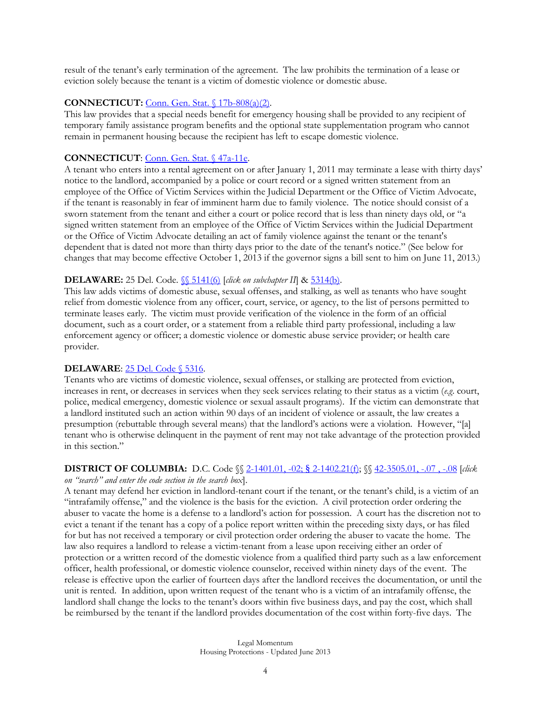result of the tenant's early termination of the agreement. The law prohibits the termination of a lease or eviction solely because the tenant is a victim of domestic violence or domestic abuse.

#### **CONNECTICUT:** [Conn. Gen. Stat. § 17b-808\(a\)\(2\).](http://www.cga.ct.gov/current/pub/chap_319uu.htm#sec_17b-808)

This law provides that a special needs benefit for emergency housing shall be provided to any recipient of temporary family assistance program benefits and the optional state supplementation program who cannot remain in permanent housing because the recipient has left to escape domestic violence.

#### **CONNECTICUT**: [Conn. Gen. Stat. § 47a-11e.](http://www.cga.ct.gov/current/pub/chap_830.htm#sec_47a-11e)

A tenant who enters into a rental agreement on or after January 1, 2011 may terminate a lease with thirty days' notice to the landlord, accompanied by a police or court record or a signed written statement from an employee of the Office of Victim Services within the Judicial Department or the Office of Victim Advocate, if the tenant is reasonably in fear of imminent harm due to family violence. The notice should consist of a sworn statement from the tenant and either a court or police record that is less than ninety days old, or "a signed written statement from an employee of the Office of Victim Services within the Judicial Department or the Office of Victim Advocate detailing an act of family violence against the tenant or the tenant's dependent that is dated not more than thirty days prior to the date of the tenant's notice." (See below for changes that may become effective October 1, 2013 if the governor signs a bill sent to him on June 11, 2013.)

#### **DELAWARE:** 25 Del. Code. *SS* 5141(6) [*click on subchapter II*] [& 5314\(b\).](http://delcode.delaware.gov/title25/c053/index.shtml)

This law adds victims of domestic abuse, sexual offenses, and stalking, as well as tenants who have sought relief from domestic violence from any officer, court, service, or agency, to the list of persons permitted to terminate leases early. The victim must provide verification of the violence in the form of an official document, such as a court order, or a statement from a reliable third party professional, including a law enforcement agency or officer; a domestic violence or domestic abuse service provider; or health care provider.

#### **DELAWARE**: [25 Del. Code § 5316.](http://delcode.delaware.gov/title25/c053/index.shtml)

Tenants who are victims of domestic violence, sexual offenses, or stalking are protected from eviction, increases in rent, or decreases in services when they seek services relating to their status as a victim (*e.g*. court, police, medical emergency, domestic violence or sexual assault programs). If the victim can demonstrate that a landlord instituted such an action within 90 days of an incident of violence or assault, the law creates a presumption (rebuttable through several means) that the landlord's actions were a violation. However, "[a] tenant who is otherwise delinquent in the payment of rent may not take advantage of the protection provided in this section."

## **DISTRICT OF COLUMBIA:** D.C. Code §§ [2-1401.01, -02;](http://government.westlaw.com/linkedslice/default.asp?SP=DCC-1000) § 2-1402.21(f); §§ [42-3505.01, -.07 , -.08](http://weblinks.westlaw.com/toc/default.aspx?Abbr=dc%2Dst&AP=DC010409875&ItemKey=DC010409875&RP=%2Ftoc%2Fdefault%2Ewl&Service=TOC&RS=WEBL8.07&VR=2.0&SPa=DCC-1000&fragment) [*click*

*on "search" and enter the code section in the search box*].

A tenant may defend her eviction in landlord-tenant court if the tenant, or the tenant's child, is a victim of an "intrafamily offense," and the violence is the basis for the eviction. A civil protection order ordering the abuser to vacate the home is a defense to a landlord's action for possession. A court has the discretion not to evict a tenant if the tenant has a copy of a police report written within the preceding sixty days, or has filed for but has not received a temporary or civil protection order ordering the abuser to vacate the home. The law also requires a landlord to release a victim-tenant from a lease upon receiving either an order of protection or a written record of the domestic violence from a qualified third party such as a law enforcement officer, health professional, or domestic violence counselor, received within ninety days of the event. The release is effective upon the earlier of fourteen days after the landlord receives the documentation, or until the unit is rented. In addition, upon written request of the tenant who is a victim of an intrafamily offense, the landlord shall change the locks to the tenant's doors within five business days, and pay the cost, which shall be reimbursed by the tenant if the landlord provides documentation of the cost within forty-five days. The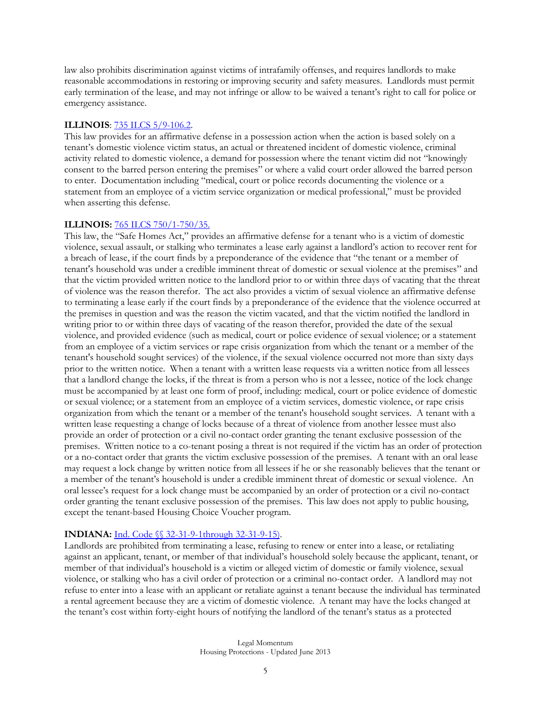law also prohibits discrimination against victims of intrafamily offenses, and requires landlords to make reasonable accommodations in restoring or improving security and safety measures. Landlords must permit early termination of the lease, and may not infringe or allow to be waived a tenant's right to call for police or emergency assistance.

#### **ILLINOIS**: [735 ILCS 5/9-106.2.](http://www.ilga.gov/legislation/ilcs/ilcs4.asp?DocName=073500050HArt%2E+IX&ActID=2017&ChapterID=56&SeqStart=65800000&SeqEnd=73500000)

This law provides for an affirmative defense in a possession action when the action is based solely on a tenant's domestic violence victim status, an actual or threatened incident of domestic violence, criminal activity related to domestic violence, a demand for possession where the tenant victim did not "knowingly consent to the barred person entering the premises" or where a valid court order allowed the barred person to enter. Documentation including "medical, court or police records documenting the violence or a statement from an employee of a victim service organization or medical professional," must be provided when asserting this defense.

#### **ILLINOIS:** [765 ILCS 750/1-750/35.](http://www.ilga.gov/legislation/ilcs/ilcs3.asp?ActID=2817&ChapAct=765%26nbsp%3BILCS%26nbsp%3B750%2F&ChapterID=62&ChapterName=PROPERTY&ActName=Safe+Homes+Act%2E)

This law, the "Safe Homes Act," provides an affirmative defense for a tenant who is a victim of domestic violence, sexual assault, or stalking who terminates a lease early against a landlord's action to recover rent for a breach of lease, if the court finds by a preponderance of the evidence that "the tenant or a member of tenant's household was under a credible imminent threat of domestic or sexual violence at the premises" and that the victim provided written notice to the landlord prior to or within three days of vacating that the threat of violence was the reason therefor. The act also provides a victim of sexual violence an affirmative defense to terminating a lease early if the court finds by a preponderance of the evidence that the violence occurred at the premises in question and was the reason the victim vacated, and that the victim notified the landlord in writing prior to or within three days of vacating of the reason therefor, provided the date of the sexual violence, and provided evidence (such as medical, court or police evidence of sexual violence; or a statement from an employee of a victim services or rape crisis organization from which the tenant or a member of the tenant's household sought services) of the violence, if the sexual violence occurred not more than sixty days prior to the written notice. When a tenant with a written lease requests via a written notice from all lessees that a landlord change the locks, if the threat is from a person who is not a lessee, notice of the lock change must be accompanied by at least one form of proof, including: medical, court or police evidence of domestic or sexual violence; or a statement from an employee of a victim services, domestic violence, or rape crisis organization from which the tenant or a member of the tenant's household sought services. A tenant with a written lease requesting a change of locks because of a threat of violence from another lessee must also provide an order of protection or a civil no-contact order granting the tenant exclusive possession of the premises. Written notice to a co-tenant posing a threat is not required if the victim has an order of protection or a no-contact order that grants the victim exclusive possession of the premises. A tenant with an oral lease may request a lock change by written notice from all lessees if he or she reasonably believes that the tenant or a member of the tenant's household is under a credible imminent threat of domestic or sexual violence. An oral lessee's request for a lock change must be accompanied by an order of protection or a civil no-contact order granting the tenant exclusive possession of the premises. This law does not apply to public housing, except the tenant-based Housing Choice Voucher program.

## **INDIANA:** [Ind. Code §§ 32-31-9-1through 32-31-9-15\).](http://www.in.gov/legislative/ic/code/title32/ar31/ch9.html)

Landlords are prohibited from terminating a lease, refusing to renew or enter into a lease, or retaliating against an applicant, tenant, or member of that individual's household solely because the applicant, tenant, or member of that individual's household is a victim or alleged victim of domestic or family violence, sexual violence, or stalking who has a civil order of protection or a criminal no-contact order. A landlord may not refuse to enter into a lease with an applicant or retaliate against a tenant because the individual has terminated a rental agreement because they are a victim of domestic violence. A tenant may have the locks changed at the tenant's cost within forty-eight hours of notifying the landlord of the tenant's status as a protected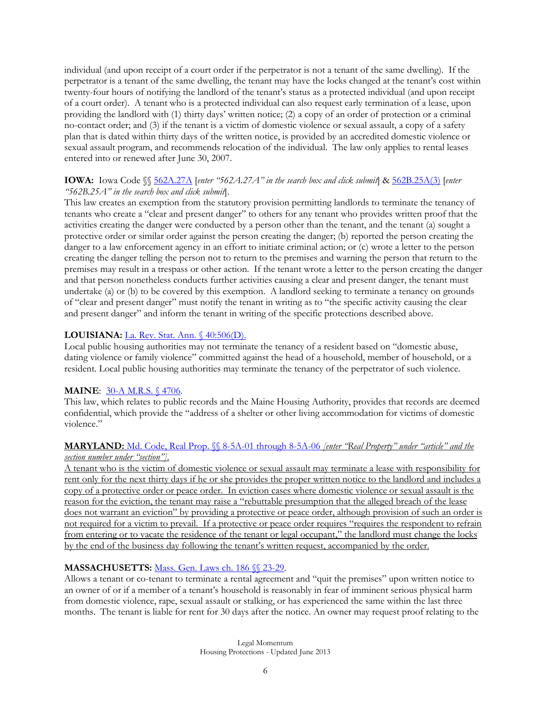individual (and upon receipt of a court order if the perpetrator is not a tenant of the same dwelling). If the perpetrator is a tenant of the same dwelling, the tenant may have the locks changed at the tenant's cost within twenty-four hours of notifying the landlord of the tenant's status as a protected individual (and upon receipt of a court order). A tenant who is a protected individual can also request early termination of a lease, upon providing the landlord with (1) thirty days' written notice; (2) a copy of an order of protection or a criminal no-contact order; and (3) if the tenant is a victim of domestic violence or sexual assault, a copy of a safety plan that is dated within thirty days of the written notice, is provided by an accredited domestic violence or sexual assault program, and recommends relocation of the individual. The law only applies to rental leases entered into or renewed after June 30, 2007.

#### **IOWA:** Iowa Code §§ [562A.27A](http://coolice.legis.state.ia.us/Cool-ICE/default.asp?category=billinfo&service=IowaCode) [*enter "562A.27A" in the search box and click submit*] & [562B.25A\(3\)](http://coolice.legis.state.ia.us/Cool-ICE/default.asp?category=billinfo&service=IowaCode) [*enter "562B.25A" in the search box and click submit*].

This law creates an exemption from the statutory provision permitting landlords to terminate the tenancy of tenants who create a "clear and present danger" to others for any tenant who provides written proof that the activities creating the danger were conducted by a person other than the tenant, and the tenant (a) sought a protective order or similar order against the person creating the danger; (b) reported the person creating the danger to a law enforcement agency in an effort to initiate criminal action; or (c) wrote a letter to the person creating the danger telling the person not to return to the premises and warning the person that return to the premises may result in a trespass or other action. If the tenant wrote a letter to the person creating the danger and that person nonetheless conducts further activities causing a clear and present danger, the tenant must undertake (a) or (b) to be covered by this exemption. A landlord seeking to terminate a tenancy on grounds of "clear and present danger" must notify the tenant in writing as to "the specific activity causing the clear and present danger" and inform the tenant in writing of the specific protections described above.

## **LOUISIANA:** [La. Rev. Stat. Ann. § 40:506\(D\).](http://www.legis.state.la.us/lss/lss.asp?doc=98568)

Local public housing authorities may not terminate the tenancy of a resident based on "domestic abuse, dating violence or family violence" committed against the head of a household, member of household, or a resident. Local public housing authorities may terminate the tenancy of the perpetrator of such violence.

## **MAINE**: [30-A M.R.S.](http://www.mainelegislature.org/legis/statutes/30-A/title30-Asec4706.html) § 4706.

This law, which relates to public records and the Maine Housing Authority, provides that records are deemed confidential, which provide the "address of a shelter or other living accommodation for victims of domestic violence."

#### **MARYLAND:** [Md. Code, Real Prop. §§ 8-5A-01 through 8-5A-06](http://mgaleg.maryland.gov/webmga/frmStatutes.aspx?p) *[enter "Real Property" under "article" and the section number under "section"]*.

A tenant who is the victim of domestic violence or sexual assault may terminate a lease with responsibility for rent only for the next thirty days if he or she provides the proper written notice to the landlord and includes a copy of a protective order or peace order. In eviction cases where domestic violence or sexual assault is the reason for the eviction, the tenant may raise a "rebuttable presumption that the alleged breach of the lease does not warrant an eviction" by providing a protective or peace order, although provision of such an order is not required for a victim to prevail. If a protective or peace order requires "requires the respondent to refrain from entering or to vacate the residence of the tenant or legal occupant," the landlord must change the locks by the end of the business day following the tenant's written request, accompanied by the order.

## **MASSACHUSETTS:** [Mass. Gen. Laws ch. 186 §§ 23-29.](https://malegislature.gov/Laws/SessionLaws/Acts/2012/Chapter402)

Allows a tenant or co-tenant to terminate a rental agreement and "quit the premises" upon written notice to an owner of or if a member of a tenant's household is reasonably in fear of imminent serious physical harm from domestic violence, rape, sexual assault or stalking, or has experienced the same within the last three months. The tenant is liable for rent for 30 days after the notice. An owner may request proof relating to the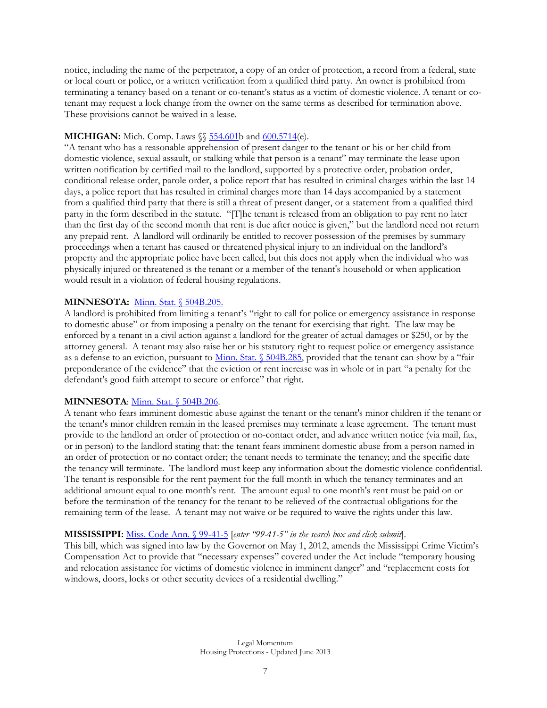notice, including the name of the perpetrator, a copy of an order of protection, a record from a federal, state or local court or police, or a written verification from a qualified third party. An owner is prohibited from terminating a tenancy based on a tenant or co-tenant's status as a victim of domestic violence. A tenant or cotenant may request a lock change from the owner on the same terms as described for termination above. These provisions cannot be waived in a lease.

## **MICHIGAN:** Mich. Comp. Laws §§ [554.601b](http://www.legislature.mi.gov/(S(lgpor1yianb121aipb2bzsee))/mileg.aspx?page=getObject&objectName=mcl-554-601b) and [600.5714\(](http://www.legislature.mi.gov/(S(lgpor1yianb121aipb2bzsee))/mileg.aspx?page=getObject&objectName=mcl-600-5714)e).

"A tenant who has a reasonable apprehension of present danger to the tenant or his or her child from domestic violence, sexual assault, or stalking while that person is a tenant" may terminate the lease upon written notification by certified mail to the landlord, supported by a protective order, probation order, conditional release order, parole order, a police report that has resulted in criminal charges within the last 14 days, a police report that has resulted in criminal charges more than 14 days accompanied by a statement from a qualified third party that there is still a threat of present danger, or a statement from a qualified third party in the form described in the statute. "[T]he tenant is released from an obligation to pay rent no later than the first day of the second month that rent is due after notice is given," but the landlord need not return any prepaid rent. A landlord will ordinarily be entitled to recover possession of the premises by summary proceedings when a tenant has caused or threatened physical injury to an individual on the landlord's property and the appropriate police have been called, but this does not apply when the individual who was physically injured or threatened is the tenant or a member of the tenant's household or when application would result in a violation of federal housing regulations.

## **MINNESOTA:** [Minn. Stat. § 504B.205.](http://www.revisor.leg.state.mn.us/stats/504B/205.html)

A landlord is prohibited from limiting a tenant's "right to call for police or emergency assistance in response to domestic abuse" or from imposing a penalty on the tenant for exercising that right. The law may be enforced by a tenant in a civil action against a landlord for the greater of actual damages or \$250, or by the attorney general. A tenant may also raise her or his statutory right to request police or emergency assistance as a defense to an eviction, pursuant t[o Minn. Stat. § 504B.285](http://www.revisor.leg.state.mn.us/stats/504B/285.html), provided that the tenant can show by a "fair preponderance of the evidence" that the eviction or rent increase was in whole or in part "a penalty for the defendant's good faith attempt to secure or enforce" that right.

#### **MINNESOTA:** [Minn. Stat. § 504B.206.](https://www.revisor.leg.state.mn.us/statutes/?id=504B.206)

A tenant who fears imminent domestic abuse against the tenant or the tenant's minor children if the tenant or the tenant's minor children remain in the leased premises may terminate a lease agreement. The tenant must provide to the landlord an order of protection or no-contact order, and advance written notice (via mail, fax, or in person) to the landlord stating that: the tenant fears imminent domestic abuse from a person named in an order of protection or no contact order; the tenant needs to terminate the tenancy; and the specific date the tenancy will terminate. The landlord must keep any information about the domestic violence confidential. The tenant is responsible for the rent payment for the full month in which the tenancy terminates and an additional amount equal to one month's rent. The amount equal to one month's rent must be paid on or before the termination of the tenancy for the tenant to be relieved of the contractual obligations for the remaining term of the lease. A tenant may not waive or be required to waive the rights under this law.

#### **MISSISSIPPI:** [Miss. Code Ann. § 99-41-5](http://www.lexisnexis.com/hottopics/mscode/) [*enter "99-41-5" in the search box and click submit*].

This bill, which was signed into law by the Governor on May 1, 2012, amends the Mississippi Crime Victim's Compensation Act to provide that "necessary expenses" covered under the Act include "temporary housing and relocation assistance for victims of domestic violence in imminent danger" and "replacement costs for windows, doors, locks or other security devices of a residential dwelling."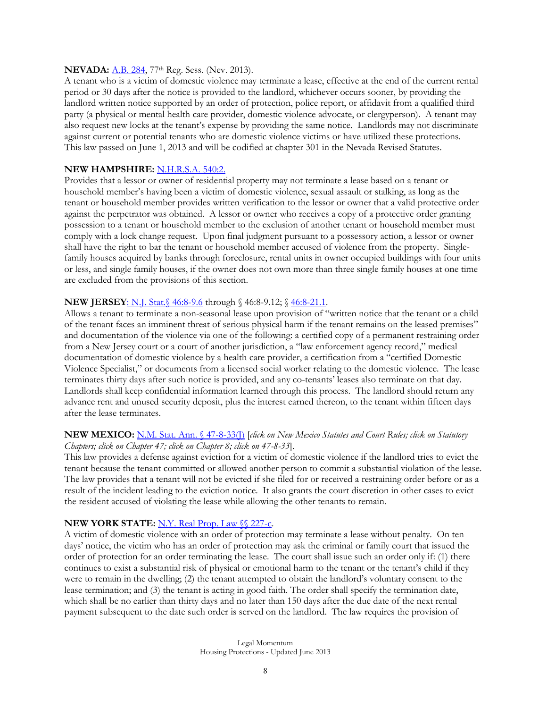#### **NEVADA:** <u>A.B. 284</u>, 77<sup>th</sup> Reg. Sess. (Nev. 2013).

A tenant who is a victim of domestic violence may terminate a lease, effective at the end of the current rental period or 30 days after the notice is provided to the landlord, whichever occurs sooner, by providing the landlord written notice supported by an order of protection, police report, or affidavit from a qualified third party (a physical or mental health care provider, domestic violence advocate, or clergyperson). A tenant may also request new locks at the tenant's expense by providing the same notice. Landlords may not discriminate against current or potential tenants who are domestic violence victims or have utilized these protections. This law passed on June 1, 2013 and will be codified at chapter 301 in the Nevada Revised Statutes.

#### **NEW HAMPSHIRE:** [N.H.R.S.A. 540:2.](http://www.gencourt.state.nh.us/rsa/html/lv/540/540-mrg.htm)

Provides that a lessor or owner of residential property may not terminate a lease based on a tenant or household member's having been a victim of domestic violence, sexual assault or stalking, as long as the tenant or household member provides written verification to the lessor or owner that a valid protective order against the perpetrator was obtained. A lessor or owner who receives a copy of a protective order granting possession to a tenant or household member to the exclusion of another tenant or household member must comply with a lock change request. Upon final judgment pursuant to a possessory action, a lessor or owner shall have the right to bar the tenant or household member accused of violence from the property. Singlefamily houses acquired by banks through foreclosure, rental units in owner occupied buildings with four units or less, and single family houses, if the owner does not own more than three single family houses at one time are excluded from the provisions of this section.

## **NEW JERSEY**[: N.J. Stat.§ 46:8-9.6](http://lis.njleg.state.nj.us/cgi-bin/om_isapi.dll?clientID=167895&Depth=2&depth=2&expandheadings=on&headingswithhits=on&hitsperheading=on&infobase=statutes.nfo&record=%7B13D39%7D&softpage=Doc_Frame_PG42) through § 46:8-9.12; [§ 46:8-21.1](http://lis.njleg.state.nj.us/cgi-bin/om_isapi.dll?clientID=41387838&Depth=2&depth=2&expandheadings=on&headingswithhits=on&hitsperheading=on&infobase=statutes.nfo&record=%7b13D37%7d&softpage=Doc_Frame_PG42).

Allows a tenant to terminate a non-seasonal lease upon provision of "written notice that the tenant or a child of the tenant faces an imminent threat of serious physical harm if the tenant remains on the leased premises" and documentation of the violence via one of the following: a certified copy of a permanent restraining order from a New Jersey court or a court of another jurisdiction, a "law enforcement agency record," medical documentation of domestic violence by a health care provider, a certification from a "certified Domestic Violence Specialist," or documents from a licensed social worker relating to the domestic violence. The lease terminates thirty days after such notice is provided, and any co-tenants' leases also terminate on that day. Landlords shall keep confidential information learned through this process. The landlord should return any advance rent and unused security deposit, plus the interest earned thereon, to the tenant within fifteen days after the lease terminates.

#### **NEW MEXICO:** [N.M. Stat. Ann. § 47-8-33\(J\)](http://public.nmcompcomm.us/nmpublic/gateway.dll/?f=templates&fn=default.htm) [*click on New Mexico Statutes and Court Rules; click on Statutory Chapters; click on Chapter 47; click on Chapter 8; click on 47-8-33*].

This law provides a defense against eviction for a victim of domestic violence if the landlord tries to evict the tenant because the tenant committed or allowed another person to commit a substantial violation of the lease. The law provides that a tenant will not be evicted if she filed for or received a restraining order before or as a result of the incident leading to the eviction notice. It also grants the court discretion in other cases to evict the resident accused of violating the lease while allowing the other tenants to remain.

## **NEW YORK STATE:** [N.Y. Real Prop. Law §§ 227-c.](http://public.leginfo.state.ny.us/LAWSSEAF.cgi?QUERYTYPE=LAWS+&QUERYDATA=$$RPP227-C$$@TXRPP0227-C+&LIST=LAW+&BROWSER=BROWSER+&TOKEN=09247902+&TARGET=VIEW)

A victim of domestic violence with an order of protection may terminate a lease without penalty. On ten days' notice, the victim who has an order of protection may ask the criminal or family court that issued the order of protection for an order terminating the lease. The court shall issue such an order only if: (1) there continues to exist a substantial risk of physical or emotional harm to the tenant or the tenant's child if they were to remain in the dwelling; (2) the tenant attempted to obtain the landlord's voluntary consent to the lease termination; and (3) the tenant is acting in good faith. The order shall specify the termination date, which shall be no earlier than thirty days and no later than 150 days after the due date of the next rental payment subsequent to the date such order is served on the landlord. The law requires the provision of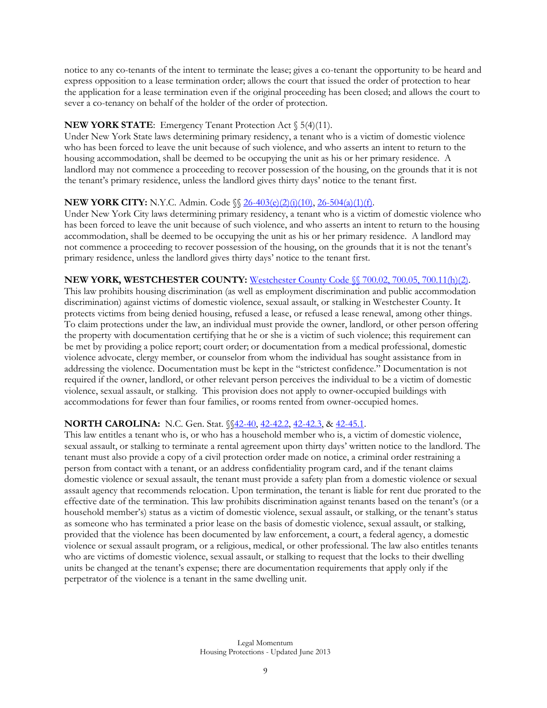notice to any co-tenants of the intent to terminate the lease; gives a co-tenant the opportunity to be heard and express opposition to a lease termination order; allows the court that issued the order of protection to hear the application for a lease termination even if the original proceeding has been closed; and allows the court to sever a co-tenancy on behalf of the holder of the order of protection.

## **NEW YORK STATE:** Emergency Tenant Protection Act § 5(4)(11).

Under New York State laws determining primary residency, a tenant who is a victim of domestic violence who has been forced to leave the unit because of such violence, and who asserts an intent to return to the housing accommodation, shall be deemed to be occupying the unit as his or her primary residence. A landlord may not commence a proceeding to recover possession of the housing, on the grounds that it is not the tenant's primary residence, unless the landlord gives thirty days' notice to the tenant first.

## **NEW YORK CITY:** N.Y.C. Admin. Code  $\{\}\$  [26-403\(e\)\(2\)\(i\)\(10\),](http://public.leginfo.state.ny.us/LAWSSEAF.cgi?QUERYTYPE=LAWS+&QUERYDATA=$$ADC26-403$$@TXADC026-403+&LIST=LAW+&BROWSER=BROWSER+&TOKEN=53684723+&TARGET=VIEW) [26-504\(a\)\(1\)\(f\).](http://public.leginfo.state.ny.us/LAWSSEAF.cgi?QUERYTYPE=LAWS+&QUERYDATA=$$ADC26-504$$@TXADC026-504+&LIST=LAW+&BROWSER=BROWSER+&TOKEN=53684723+&TARGET=VIEW)

Under New York City laws determining primary residency, a tenant who is a victim of domestic violence who has been forced to leave the unit because of such violence, and who asserts an intent to return to the housing accommodation, shall be deemed to be occupying the unit as his or her primary residence. A landlord may not commence a proceeding to recover possession of the housing, on the grounds that it is not the tenant's primary residence, unless the landlord gives thirty days' notice to the tenant first.

## **NEW YORK, WESTCHESTER COUNTY:** [Westchester County Code §§ 700.02, 700.05, 700.11\(h\)\(2\).](http://www.westchestergov.com/humanrightscommission/images/HRC%20LAW_001.pdf)

This law prohibits housing discrimination (as well as employment discrimination and public accommodation discrimination) against victims of domestic violence, sexual assault, or stalking in Westchester County. It protects victims from being denied housing, refused a lease, or refused a lease renewal, among other things. To claim protections under the law, an individual must provide the owner, landlord, or other person offering the property with documentation certifying that he or she is a victim of such violence; this requirement can be met by providing a police report; court order; or documentation from a medical professional, domestic violence advocate, clergy member, or counselor from whom the individual has sought assistance from in addressing the violence. Documentation must be kept in the "strictest confidence." Documentation is not required if the owner, landlord, or other relevant person perceives the individual to be a victim of domestic violence, sexual assault, or stalking. This provision does not apply to owner-occupied buildings with accommodations for fewer than four families, or rooms rented from owner-occupied homes.

## **NORTH CAROLINA:** N.C. Gen. Stat. §[§42-40,](http://www.ncga.state.nc.us/EnactedLegislation/Statutes/HTML/BySection/Chapter_42/GS_42-40.html) [42-42.2,](http://www.ncga.state.nc.us/EnactedLegislation/Statutes/HTML/BySection/Chapter_42/GS_42-42.2.html) [42-42.3,](http://www.ncga.state.nc.us/EnactedLegislation/Statutes/HTML/BySection/Chapter_42/GS_42-42.3.html) & [42-45.1.](http://www.ncga.state.nc.us/EnactedLegislation/Statutes/HTML/BySection/Chapter_42/GS_42-45.1.html)

This law entitles a tenant who is, or who has a household member who is, a victim of domestic violence, sexual assault, or stalking to terminate a rental agreement upon thirty days' written notice to the landlord. The tenant must also provide a copy of a civil protection order made on notice, a criminal order restraining a person from contact with a tenant, or an address confidentiality program card, and if the tenant claims domestic violence or sexual assault, the tenant must provide a safety plan from a domestic violence or sexual assault agency that recommends relocation. Upon termination, the tenant is liable for rent due prorated to the effective date of the termination. This law prohibits discrimination against tenants based on the tenant's (or a household member's) status as a victim of domestic violence, sexual assault, or stalking, or the tenant's status as someone who has terminated a prior lease on the basis of domestic violence, sexual assault, or stalking, provided that the violence has been documented by law enforcement, a court, a federal agency, a domestic violence or sexual assault program, or a religious, medical, or other professional. The law also entitles tenants who are victims of domestic violence, sexual assault, or stalking to request that the locks to their dwelling units be changed at the tenant's expense; there are documentation requirements that apply only if the perpetrator of the violence is a tenant in the same dwelling unit.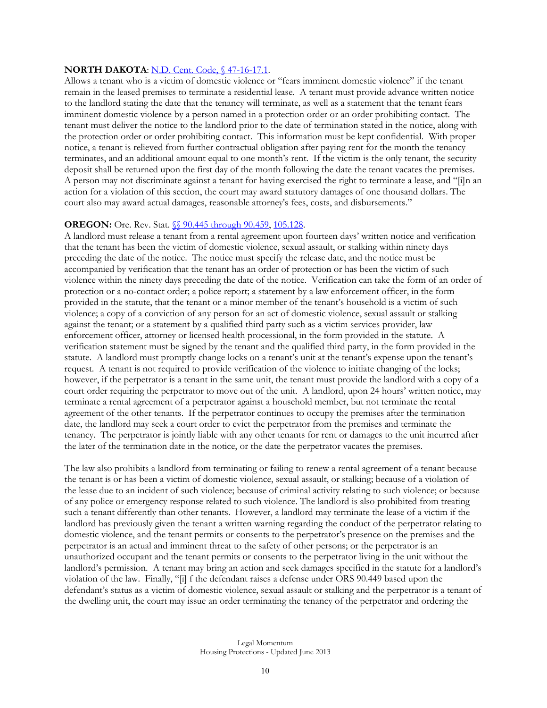#### **NORTH DAKOTA: [N.D. Cent. Code, §](http://www.legis.nd.gov/cencode/t47c16.pdf) 47-16-17.1.**

Allows a tenant who is a victim of domestic violence or "fears imminent domestic violence" if the tenant remain in the leased premises to terminate a residential lease. A tenant must provide advance written notice to the landlord stating the date that the tenancy will terminate, as well as a statement that the tenant fears imminent domestic violence by a person named in a protection order or an order prohibiting contact. The tenant must deliver the notice to the landlord prior to the date of termination stated in the notice, along with the protection order or order prohibiting contact. This information must be kept confidential. With proper notice, a tenant is relieved from further contractual obligation after paying rent for the month the tenancy terminates, and an additional amount equal to one month's rent. If the victim is the only tenant, the security deposit shall be returned upon the first day of the month following the date the tenant vacates the premises. A person may not discriminate against a tenant for having exercised the right to terminate a lease, and "[i]n an action for a violation of this section, the court may award statutory damages of one thousand dollars. The court also may award actual damages, reasonable attorney's fees, costs, and disbursements."

#### **OREGON:** Ore. Rev. Stat.  $\sqrt{\}$  90.445 through 90.459, 105.128.

A landlord must release a tenant from a rental agreement upon fourteen days' written notice and verification that the tenant has been the victim of domestic violence, sexual assault, or stalking within ninety days preceding the date of the notice. The notice must specify the release date, and the notice must be accompanied by verification that the tenant has an order of protection or has been the victim of such violence within the ninety days preceding the date of the notice. Verification can take the form of an order of protection or a no-contact order; a police report; a statement by a law enforcement officer, in the form provided in the statute, that the tenant or a minor member of the tenant's household is a victim of such violence; a copy of a conviction of any person for an act of domestic violence, sexual assault or stalking against the tenant; or a statement by a qualified third party such as a victim services provider, law enforcement officer, attorney or licensed health processional, in the form provided in the statute. A verification statement must be signed by the tenant and the qualified third party, in the form provided in the statute. A landlord must promptly change locks on a tenant's unit at the tenant's expense upon the tenant's request. A tenant is not required to provide verification of the violence to initiate changing of the locks; however, if the perpetrator is a tenant in the same unit, the tenant must provide the landlord with a copy of a court order requiring the perpetrator to move out of the unit. A landlord, upon 24 hours' written notice, may terminate a rental agreement of a perpetrator against a household member, but not terminate the rental agreement of the other tenants. If the perpetrator continues to occupy the premises after the termination date, the landlord may seek a court order to evict the perpetrator from the premises and terminate the tenancy. The perpetrator is jointly liable with any other tenants for rent or damages to the unit incurred after the later of the termination date in the notice, or the date the perpetrator vacates the premises.

The law also prohibits a landlord from terminating or failing to renew a rental agreement of a tenant because the tenant is or has been a victim of domestic violence, sexual assault, or stalking; because of a violation of the lease due to an incident of such violence; because of criminal activity relating to such violence; or because of any police or emergency response related to such violence. The landlord is also prohibited from treating such a tenant differently than other tenants. However, a landlord may terminate the lease of a victim if the landlord has previously given the tenant a written warning regarding the conduct of the perpetrator relating to domestic violence, and the tenant permits or consents to the perpetrator's presence on the premises and the perpetrator is an actual and imminent threat to the safety of other persons; or the perpetrator is an unauthorized occupant and the tenant permits or consents to the perpetrator living in the unit without the landlord's permission. A tenant may bring an action and seek damages specified in the statute for a landlord's violation of the law. Finally, "[i] f the defendant raises a defense under ORS 90.449 based upon the defendant's status as a victim of domestic violence, sexual assault or stalking and the perpetrator is a tenant of the dwelling unit, the court may issue an order terminating the tenancy of the perpetrator and ordering the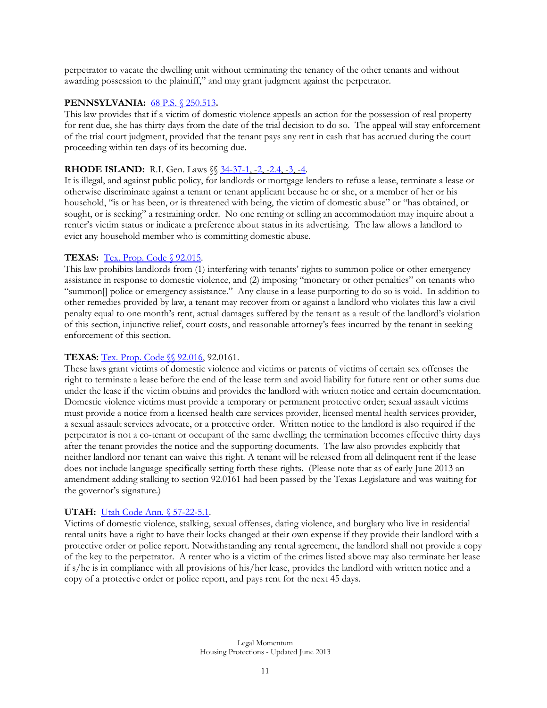perpetrator to vacate the dwelling unit without terminating the tenancy of the other tenants and without awarding possession to the plaintiff," and may grant judgment against the perpetrator.

## **PENNSYLVANIA:** [68 P.S. § 250.513](http://www.legis.state.pa.us/WU01/LI/LI/US/HTM/1995/0/0033.000.001.000..HTM)**.**

This law provides that if a victim of domestic violence appeals an action for the possession of real property for rent due, she has thirty days from the date of the trial decision to do so. The appeal will stay enforcement of the trial court judgment, provided that the tenant pays any rent in cash that has accrued during the court proceeding within ten days of its becoming due.

## **RHODE ISLAND:** R.I. Gen. Laws  $\{\{\}\$  [34-37-1,](http://www.rilin.state.ri.us/Statutes/TITLE34/34-37/34-37-1.HTM) [-2,](http://www.rilin.state.ri.us/Statutes/TITLE34/34-37/34-37-2.HTM) [-2.4,](http://www.rilin.state.ri.us/Statutes/TITLE34/34-37/34-37-2.4.HTM) [-3,](http://www.rilin.state.ri.us/Statutes/TITLE34/34-37/34-37-3.HTM) [-4.](http://www.rilin.state.ri.us/Statutes/TITLE34/34-37/34-37-4.HTM)

It is illegal, and against public policy, for landlords or mortgage lenders to refuse a lease, terminate a lease or otherwise discriminate against a tenant or tenant applicant because he or she, or a member of her or his household, "is or has been, or is threatened with being, the victim of domestic abuse" or "has obtained, or sought, or is seeking" a restraining order. No one renting or selling an accommodation may inquire about a renter's victim status or indicate a preference about status in its advertising. The law allows a landlord to evict any household member who is committing domestic abuse.

## **TEXAS:** [Tex. Prop. Code § 92.015.](http://www.statutes.legis.state.tx.us/Docs/PR/htm/PR.92.htm#92.015)

This law prohibits landlords from (1) interfering with tenants' rights to summon police or other emergency assistance in response to domestic violence, and (2) imposing "monetary or other penalties" on tenants who "summon[] police or emergency assistance." Any clause in a lease purporting to do so is void. In addition to other remedies provided by law, a tenant may recover from or against a landlord who violates this law a civil penalty equal to one month's rent, actual damages suffered by the tenant as a result of the landlord's violation of this section, injunctive relief, court costs, and reasonable attorney's fees incurred by the tenant in seeking enforcement of this section.

## **TEXAS:** Tex. Prop. Code  $\sqrt{\ }$  92.016, 92.0161.

These laws grant victims of domestic violence and victims or parents of victims of certain sex offenses the right to terminate a lease before the end of the lease term and avoid liability for future rent or other sums due under the lease if the victim obtains and provides the landlord with written notice and certain documentation. Domestic violence victims must provide a temporary or permanent protective order; sexual assault victims must provide a notice from a licensed health care services provider, licensed mental health services provider, a sexual assault services advocate, or a protective order. Written notice to the landlord is also required if the perpetrator is not a co-tenant or occupant of the same dwelling; the termination becomes effective thirty days after the tenant provides the notice and the supporting documents. The law also provides explicitly that neither landlord nor tenant can waive this right. A tenant will be released from all delinquent rent if the lease does not include language specifically setting forth these rights. (Please note that as of early June 2013 an amendment adding stalking to section 92.0161 had been passed by the Texas Legislature and was waiting for the governor's signature.)

## **UTAH:** [Utah Code Ann. § 57-22-5.1.](http://le.utah.gov/~code/TITLE57/htm/57_22_000501.htm)

Victims of domestic violence, stalking, sexual offenses, dating violence, and burglary who live in residential rental units have a right to have their locks changed at their own expense if they provide their landlord with a protective order or police report. Notwithstanding any rental agreement, the landlord shall not provide a copy of the key to the perpetrator. A renter who is a victim of the crimes listed above may also terminate her lease if s/he is in compliance with all provisions of his/her lease, provides the landlord with written notice and a copy of a protective order or police report, and pays rent for the next 45 days.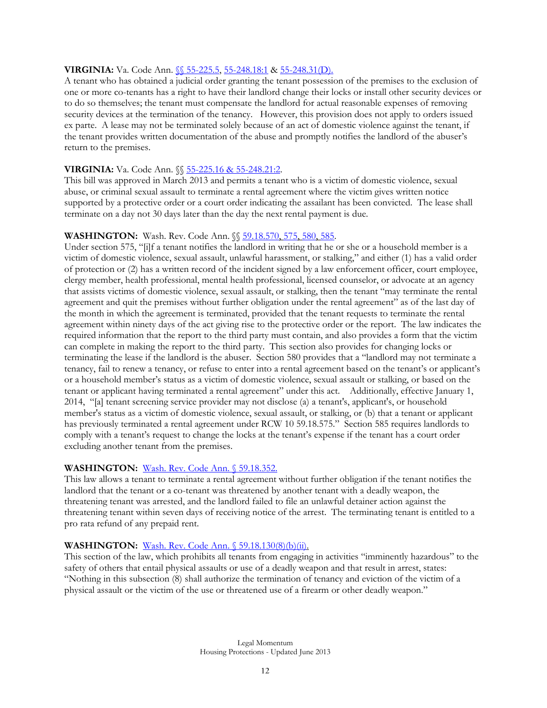## **VIRGINIA:** Va. Code Ann. [§§ 55-225.5,](http://leg1.state.va.us/cgi-bin/legp504.exe?000+cod+55-225.5) [55-248.18:1](http://leg1.state.va.us/cgi-bin/legp504.exe?000+cod+55-248.18C1) [& 55-248.31\(D\).](http://leg1.state.va.us/cgi-bin/legp504.exe?000+cod+55-248.31)

A tenant who has obtained a judicial order granting the tenant possession of the premises to the exclusion of one or more co-tenants has a right to have their landlord change their locks or install other security devices or to do so themselves; the tenant must compensate the landlord for actual reasonable expenses of removing security devices at the termination of the tenancy. However, this provision does not apply to orders issued ex parte. A lease may not be terminated solely because of an act of domestic violence against the tenant, if the tenant provides written documentation of the abuse and promptly notifies the landlord of the abuser's return to the premises.

## **VIRGINIA:** Va. Code Ann. §[§ 55-225.16 & 55-248.21:2.](http://lis.virginia.gov/cgi-bin/legp604.exe?131+ful+SB1004)

This bill was approved in March 2013 and permits a tenant who is a victim of domestic violence, sexual abuse, or criminal sexual assault to terminate a rental agreement where the victim gives written notice supported by a protective order or a court order indicating the assailant has been convicted. The lease shall terminate on a day not 30 days later than the day the next rental payment is due.

## **WASHINGTON:** Wash. Rev. Code Ann.  $\sqrt{\frac{59.18.570}{575.580.585}}$ .

Under section 575, "[i]f a tenant notifies the landlord in writing that he or she or a household member is a victim of domestic violence, sexual assault, unlawful harassment, or stalking," and either (1) has a valid order of protection or (2) has a written record of the incident signed by a law enforcement officer, court employee, clergy member, health professional, mental health professional, licensed counselor, or advocate at an agency that assists victims of domestic violence, sexual assault, or stalking, then the tenant "may terminate the rental agreement and quit the premises without further obligation under the rental agreement" as of the last day of the month in which the agreement is terminated, provided that the tenant requests to terminate the rental agreement within ninety days of the act giving rise to the protective order or the report. The law indicates the required information that the report to the third party must contain, and also provides a form that the victim can complete in making the report to the third party. This section also provides for changing locks or terminating the lease if the landlord is the abuser. Section 580 provides that a "landlord may not terminate a tenancy, fail to renew a tenancy, or refuse to enter into a rental agreement based on the tenant's or applicant's or a household member's status as a victim of domestic violence, sexual assault or stalking, or based on the tenant or applicant having terminated a rental agreement" under this act. Additionally, effective January 1, 2014, "[a] tenant screening service provider may not disclose (a) a tenant's, applicant's, or household member's status as a victim of domestic violence, sexual assault, or stalking, or (b) that a tenant or applicant has previously terminated a rental agreement under RCW 10 59.18.575." Section 585 requires landlords to comply with a tenant's request to change the locks at the tenant's expense if the tenant has a court order excluding another tenant from the premises.

## **WASHINGTON:** [Wash. Rev. Code Ann. § 59.18.352.](http://apps.leg.wa.gov/RCW/default.aspx?cite=59.18.352)

This law allows a tenant to terminate a rental agreement without further obligation if the tenant notifies the landlord that the tenant or a co-tenant was threatened by another tenant with a deadly weapon, the threatening tenant was arrested, and the landlord failed to file an unlawful detainer action against the threatening tenant within seven days of receiving notice of the arrest. The terminating tenant is entitled to a pro rata refund of any prepaid rent.

## **WASHINGTON:** [Wash. Rev. Code Ann. § 59.18.130\(8\)\(b\)\(ii\).](http://apps.leg.wa.gov/RCW/default.aspx?cite=59.18.130)

This section of the law, which prohibits all tenants from engaging in activities "imminently hazardous" to the safety of others that entail physical assaults or use of a deadly weapon and that result in arrest, states: "Nothing in this subsection (8) shall authorize the termination of tenancy and eviction of the victim of a physical assault or the victim of the use or threatened use of a firearm or other deadly weapon."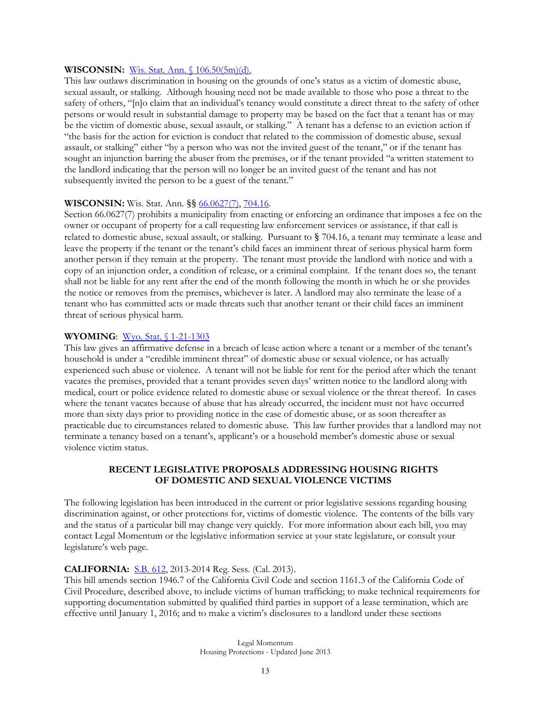#### **WISCONSIN:** [Wis. Stat. Ann. § 106.50\(5m\)\(d\).](http://folio.legis.state.wi.us/cgi-bin/om_isapi.dll?clientID=100329&infobase=stats.nfo&j1=106.50%285m%29&jump=106.50%285m%29&softpage=Browse_Frame_Pg)

This law outlaws discrimination in housing on the grounds of one's status as a victim of domestic abuse, sexual assault, or stalking. Although housing need not be made available to those who pose a threat to the safety of others, "[n]o claim that an individual's tenancy would constitute a direct threat to the safety of other persons or would result in substantial damage to property may be based on the fact that a tenant has or may be the victim of domestic abuse, sexual assault, or stalking." A tenant has a defense to an eviction action if "the basis for the action for eviction is conduct that related to the commission of domestic abuse, sexual assault, or stalking" either "by a person who was not the invited guest of the tenant," or if the tenant has sought an injunction barring the abuser from the premises, or if the tenant provided "a written statement to the landlord indicating that the person will no longer be an invited guest of the tenant and has not subsequently invited the person to be a guest of the tenant."

#### **WISCONSIN:** Wis. Stat. Ann. §§ [66.0627\(7\),](http://nxt.legis.state.wi.us/nxt/gateway.dll?f=templates&fn=default.htm&d=stats&jd=66.0627) [704.16.](http://nxt.legis.state.wi.us/nxt/gateway.dll?f=templates&fn=default.htm&d=stats&jd=704.16)

Section 66.0627(7) prohibits a municipality from enacting or enforcing an ordinance that imposes a fee on the owner or occupant of property for a call requesting law enforcement services or assistance, if that call is related to domestic abuse, sexual assault, or stalking. Pursuant to § 704.16, a tenant may terminate a lease and leave the property if the tenant or the tenant's child faces an imminent threat of serious physical harm form another person if they remain at the property. The tenant must provide the landlord with notice and with a copy of an injunction order, a condition of release, or a criminal complaint. If the tenant does so, the tenant shall not be liable for any rent after the end of the month following the month in which he or she provides the notice or removes from the premises, whichever is later. A landlord may also terminate the lease of a tenant who has committed acts or made threats such that another tenant or their child faces an imminent threat of serious physical harm.

## **WYOMING**: [Wyo. Stat. §](http://legisweb.state.wy.us/statutes/statutes.aspx?file=titles/Title1/T1CH21.htm) 1-21-1303

This law gives an affirmative defense in a breach of lease action where a tenant or a member of the tenant's household is under a "credible imminent threat" of domestic abuse or sexual violence, or has actually experienced such abuse or violence. A tenant will not be liable for rent for the period after which the tenant vacates the premises, provided that a tenant provides seven days' written notice to the landlord along with medical, court or police evidence related to domestic abuse or sexual violence or the threat thereof. In cases where the tenant vacates because of abuse that has already occurred, the incident must not have occurred more than sixty days prior to providing notice in the case of domestic abuse, or as soon thereafter as practicable due to circumstances related to domestic abuse. This law further provides that a landlord may not terminate a tenancy based on a tenant's, applicant's or a household member's domestic abuse or sexual violence victim status.

#### **RECENT LEGISLATIVE PROPOSALS ADDRESSING HOUSING RIGHTS OF DOMESTIC AND SEXUAL VIOLENCE VICTIMS**

The following legislation has been introduced in the current or prior legislative sessions regarding housing discrimination against, or other protections for, victims of domestic violence. The contents of the bills vary and the status of a particular bill may change very quickly. For more information about each bill, you may contact Legal Momentum or the legislative information service at your state legislature, or consult your legislature's web page.

#### **CALIFORNIA:** [S.B. 612,](http://www.leginfo.ca.gov/pub/13-14/bill/sen/sb_0601-0650/sb_612_bill_20130612_amended_asm_v96.pdf) 2013-2014 Reg. Sess. (Cal. 2013).

This bill amends section 1946.7 of the California Civil Code and section 1161.3 of the California Code of Civil Procedure, described above, to include victims of human trafficking; to make technical requirements for supporting documentation submitted by qualified third parties in support of a lease termination, which are effective until January 1, 2016; and to make a victim's disclosures to a landlord under these sections

> Legal Momentum Housing Protections - Updated June 2013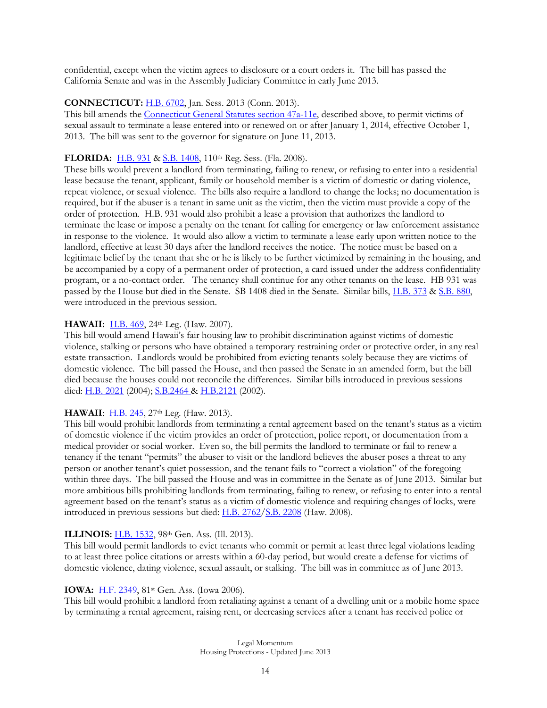confidential, except when the victim agrees to disclosure or a court orders it. The bill has passed the California Senate and was in the Assembly Judiciary Committee in early June 2013.

## **CONNECTICUT: H.B. 6702**, Jan. Sess. 2013 (Conn. 2013).

This bill amends the [Connecticut](http://www.cga.ct.gov/current/pub/chap_830.htm#sec_47a-11e) General Statutes section 47a-11e, described above, to permit victims of sexual assault to terminate a lease entered into or renewed on or after January 1, 2014, effective October 1, 2013. The bill was sent to the governor for signature on June 11, 2013.

## **FLORIDA:** [H.B. 931](http://www.myfloridahouse.gov/Sections/Documents/loaddoc.aspx?FileName=_h0931e1.xml&DocumentType=Bill&BillNumber=0931&Session=2008) & [S.B. 1408,](http://www.flsenate.gov/cgi-bin/view_page.pl?Tab=session&Submenu=1&FT=D&File=sb1408c1.html&Directory=session/2008/Senate/bills/billtext/html) 110th Reg. Sess. (Fla. 2008).

These bills would prevent a landlord from terminating, failing to renew, or refusing to enter into a residential lease because the tenant, applicant, family or household member is a victim of domestic or dating violence, repeat violence, or sexual violence. The bills also require a landlord to change the locks; no documentation is required, but if the abuser is a tenant in same unit as the victim, then the victim must provide a copy of the order of protection. H.B. 931 would also prohibit a lease a provision that authorizes the landlord to terminate the lease or impose a penalty on the tenant for calling for emergency or law enforcement assistance in response to the violence. It would also allow a victim to terminate a lease early upon written notice to the landlord, effective at least 30 days after the landlord receives the notice. The notice must be based on a legitimate belief by the tenant that she or he is likely to be further victimized by remaining in the housing, and be accompanied by a copy of a permanent order of protection, a card issued under the address confidentiality program, or a no-contact order. The tenancy shall continue for any other tenants on the lease. HB 931 was passed by the House but died in the Senate. SB 1408 died in the Senate. Similar bills, [H.B. 373](http://www.myfloridahouse.gov/Sections/Documents/loaddoc.aspx?FileName=_h0373__.doc&DocumentType=Bill&BillNumber=0373&Session=2007) & [S.B. 880,](http://www.myfloridahouse.gov/Sections/Documents/loaddoc.aspx?FileName=_s0880__.html&DocumentType=Bill&BillNumber=0880&Session=2007) were introduced in the previous session.

#### **HAWAII:** [H.B. 469,](http://www.capitol.hawaii.gov/session2007/bills/HB469_.pdf) 24th Leg. (Haw. 2007).

This bill would amend Hawaii's fair housing law to prohibit discrimination against victims of domestic violence, stalking or persons who have obtained a temporary restraining order or protective order, in any real estate transaction. Landlords would be prohibited from evicting tenants solely because they are victims of domestic violence. The bill passed the House, and then passed the Senate in an amended form, but the bill died because the houses could not reconcile the differences. Similar bills introduced in previous sessions died: [H.B. 2021](http://www.capitol.hawaii.gov/session2004/bills/hb2021_.htm) (2004); [S.B.2464 &](http://www.capitol.hawaii.gov/session2002/bills/sb2464_.htm) [H.B.2121](http://www.capitol.hawaii.gov/session2002/bills/hb2121_.htm) (2002).

## **HAWAII**: **H.B. 245**, 27<sup>th</sup> Leg. (Haw. 2013).

This bill would prohibit landlords from terminating a rental agreement based on the tenant's status as a victim of domestic violence if the victim provides an order of protection, police report, or documentation from a medical provider or social worker. Even so, the bill permits the landlord to terminate or fail to renew a tenancy if the tenant "permits" the abuser to visit or the landlord believes the abuser poses a threat to any person or another tenant's quiet possession, and the tenant fails to "correct a violation" of the foregoing within three days. The bill passed the House and was in committee in the Senate as of June 2013. Similar but more ambitious bills prohibiting landlords from terminating, failing to renew, or refusing to enter into a rental agreement based on the tenant's status as a victim of domestic violence and requiring changes of locks, were introduced in previous sessions but died: [H.B. 2762](http://www.capitol.hawaii.gov/session2008/bills/HB2762_HD1_.htm)[/S.B. 2208](http://www.capitol.hawaii.gov/session2008/bills/SB2208_.htm) (Haw. 2008).

#### **ILLINOIS:** [H.B. 1532,](http://www.ilga.gov/legislation/fulltext.asp?DocName=&SessionId=85&GA=98&DocTypeId=HB&DocNum=1532&GAID=12&LegID=72424&SpecSess=&Session=) 98<sup>th</sup> Gen. Ass. (Ill. 2013).

This bill would permit landlords to evict tenants who commit or permit at least three legal violations leading to at least three police citations or arrests within a 60-day period, but would create a defense for victims of domestic violence, dating violence, sexual assault, or stalking. The bill was in committee as of June 2013.

#### **IOWA:** [H.F. 2349,](http://coolice.legis.state.ia.us/Cool-ICE/default.asp?Category=billinfo&Service=Billbook&menu=false&ga=81&hbill=HF2349) 81st Gen. Ass. (Iowa 2006).

This bill would prohibit a landlord from retaliating against a tenant of a dwelling unit or a mobile home space by terminating a rental agreement, raising rent, or decreasing services after a tenant has received police or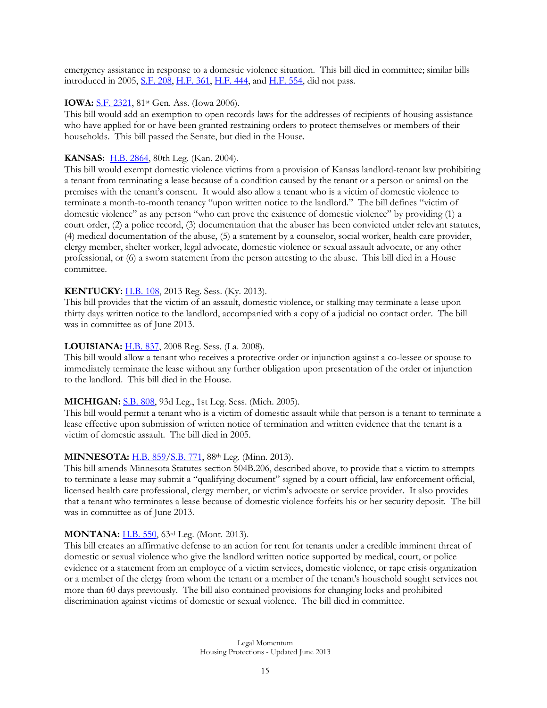emergency assistance in response to a domestic violence situation. This bill died in committee; similar bills introduced in 2005, <u>S.F. 208, [H.F. 361,](http://coolice.legis.state.ia.us/Cool-ICE/default.asp?Category=billinfo&Service=Billbook&menu=false&ga=81&hbill=HF361) H.F. 444</u>, and [H.F. 554,](http://coolice.legis.state.ia.us/Cool-ICE/default.asp?Category=billinfo&Service=Billbook&menu=false&ga=81&hbill=HF554) did not pass.

#### **IOWA:** [S.F. 2321,](http://coolice.legis.state.ia.us/Cool-ICE/default.asp?Category=BillInfo&Service=Billbook&ga=81&hbill=SF2321) 81<sup>st</sup> Gen. Ass. (Iowa 2006).

This bill would add an exemption to open records laws for the addresses of recipients of housing assistance who have applied for or have been granted restraining orders to protect themselves or members of their households. This bill passed the Senate, but died in the House.

#### **KANSAS:** [H.B. 2864,](http://www.kansas.gov/government/legislative/bills/2004/2864.pdf) 80th Leg. (Kan. 2004).

This bill would exempt domestic violence victims from a provision of Kansas landlord-tenant law prohibiting a tenant from terminating a lease because of a condition caused by the tenant or a person or animal on the premises with the tenant's consent. It would also allow a tenant who is a victim of domestic violence to terminate a month-to-month tenancy "upon written notice to the landlord." The bill defines "victim of domestic violence" as any person "who can prove the existence of domestic violence" by providing (1) a court order, (2) a police record, (3) documentation that the abuser has been convicted under relevant statutes, (4) medical documentation of the abuse, (5) a statement by a counselor, social worker, health care provider, clergy member, shelter worker, legal advocate, domestic violence or sexual assault advocate, or any other professional, or (6) a sworn statement from the person attesting to the abuse. This bill died in a House committee.

#### **KENTUCKY:** [H.B. 108,](http://www.lrc.ky.gov/record/13RS/HB108/bill.doc) 2013 Reg. Sess. (Ky. 2013).

This bill provides that the victim of an assault, domestic violence, or stalking may terminate a lease upon thirty days written notice to the landlord, accompanied with a copy of a judicial no contact order. The bill was in committee as of June 2013.

#### **LOUISIANA:** [H.B. 837,](http://www.legis.la.gov/Legis/ViewDocument.aspx?d=471378&n=HB837%20Original) 2008 Reg. Sess. (La. 2008).

This bill would allow a tenant who receives a protective order or injunction against a co-lessee or spouse to immediately terminate the lease without any further obligation upon presentation of the order or injunction to the landlord. This bill died in the House.

#### **MICHIGAN:** [S.B. 808,](http://www.legislature.mi.gov/documents/2005-2006/billintroduced/senate/htm/2005-SIB-0808.htm) 93d Leg., 1st Leg. Sess. (Mich. 2005).

This bill would permit a tenant who is a victim of domestic assault while that person is a tenant to terminate a lease effective upon submission of written notice of termination and written evidence that the tenant is a victim of domestic assault. The bill died in 2005.

## **MINNESOTA:** [H.B. 859](https://www.revisor.mn.gov/bills/text.php?number=HF859&version=0&session=ls88&session_year=2013&session_number=0&format=pdf)[/S.B. 771,](https://www.revisor.mn.gov/bills/text.php?number=SF771&version=0&session=ls88&session_year=2013&session_number=0https://www.revisor.mn.gov/bills/text.php?number=SF771&version=0&session=ls88&session_year=2013&session_number=0&format=pdf) 88th Leg. (Minn. 2013).

This bill amends Minnesota Statutes section 504B.206, described above, to provide that a victim to attempts to terminate a lease may submit a "qualifying document" signed by a court official, law enforcement official, licensed health care professional, clergy member, or victim's advocate or service provider. It also provides that a tenant who terminates a lease because of domestic violence forfeits his or her security deposit. The bill was in committee as of June 2013.

#### **MONTANA:** [H.B. 550,](http://leg.mt.gov/bills/2013/billpdf/HB0550.pdf) 63rd Leg. (Mont. 2013).

This bill creates an affirmative defense to an action for rent for tenants under a credible imminent threat of domestic or sexual violence who give the landlord written notice supported by medical, court, or police evidence or a statement from an employee of a victim services, domestic violence, or rape crisis organization or a member of the clergy from whom the tenant or a member of the tenant's household sought services not more than 60 days previously. The bill also contained provisions for changing locks and prohibited discrimination against victims of domestic or sexual violence. The bill died in committee.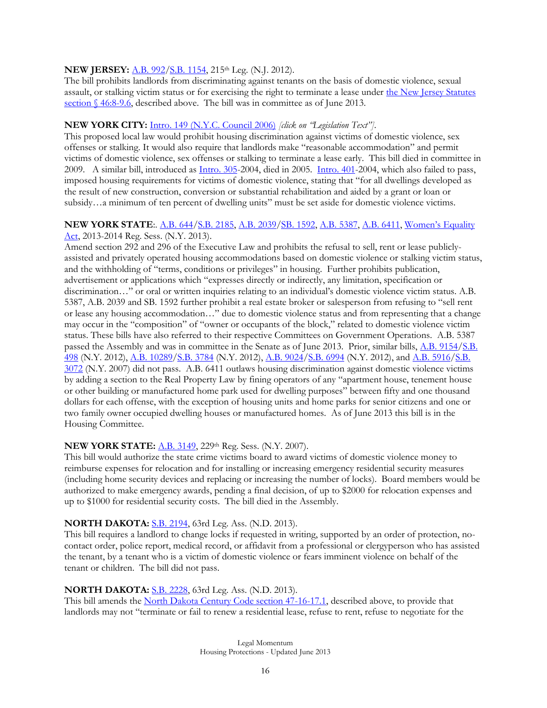#### **NEW JERSEY:** [A.B. 992](http://www.njleg.state.nj.us/2012/Bills/A1000/992_I1.PDF)[/S.B. 1154,](http://www.njleg.state.nj.us/2012/Bills/S1500/1154_I1.PDF) 215th Leg. (N.J. 2012).

The bill prohibits landlords from discriminating against tenants on the basis of domestic violence, sexual assault, or stalking victim status or for exercising the right to terminate a lease under the New Jersey Statutes [section § 46:8-9.6,](http://lis.njleg.state.nj.us/cgi-bin/om_isapi.dll?clientID=167895&Depth=2&depth=2&expandheadings=on&headingswithhits=on&hitsperheading=on&infobase=statutes.nfo&record=%7B13D39%7D&softpage=Doc_Frame_PG42) described above. The bill was in committee as of June 2013.

#### **NEW YORK CITY:** [Intro. 149 \(N.Y.C. Council 2006\)](http://legistar.council.nyc.gov/LegislationDetail.aspx?ID=450230&GUID=7DA20469-8BB6-4245-8E99-4AD1618BDB4D&Options=ID%7CText%7C&Search=domestic+violenceIntro) *[click on "Legislation Text"].*

This proposed local law would prohibit housing discrimination against victims of domestic violence, sex offenses or stalking. It would also require that landlords make "reasonable accommodation" and permit victims of domestic violence, sex offenses or stalking to terminate a lease early. This bill died in committee in 2009. A similar bill, introduced as [Intro. 305-](http://legistar.council.nyc.gov/LegislationDetail.aspx?ID=441852&GUID=BECCF6E7-42C5-4143-8E03-7B4674B6FA2C&Options=ID%7cText%7c&Search=%22domestic+violence%22A)2004, died in 2005. [Intro. 401-](http://legistar.council.nyc.gov/LegislationDetail.aspx?ID=442521&GUID=AC6EB3BA-FB63-4A49-B784-5B418684D6DD&Options=ID%7CText%7C&Search=%22domestic+violence%22)2004, which also failed to pass, imposed housing requirements for victims of domestic violence, stating that "for all dwellings developed as the result of new construction, conversion or substantial rehabilitation and aided by a grant or loan or subsidy…a minimum of ten percent of dwelling units" must be set aside for domestic violence victims.

#### **NEW YORK STATE**:. [A.B. 644](http://assembly.state.ny.us/leg/?default_fld=&bn=A00644&term=2013&Text=Y)[/S.B. 2185,](http://assembly.state.ny.us/leg/?default_fld=&bn=S02185&term=2013&Text=Y) [A.B. 2039/](http://assembly.state.ny.us/leg/?default_fld=&bn=A02039&term=2013&Text=Y)[SB. 1592,](http://assembly.state.ny.us/leg/?default_fld=&bn=S01592&term=2013&Text=Y) [A.B. 5387,](http://assembly.state.ny.us/leg/?default_fld=&bn=A05387&term=2013&Text=Y) [A.B. 6411,](http://assembly.state.ny.us/leg/?default_fld=&bn=A06411&term=2013&Text=Y) [Women's Equality](http://www.governor.ny.gov/assets/documents/GPB-9-WOMEN-EQUALITY-ACT-BILL.pdf)  [Act,](http://www.governor.ny.gov/assets/documents/GPB-9-WOMEN-EQUALITY-ACT-BILL.pdf) 2013-2014 Reg. Sess. (N.Y. 2013).

Amend section 292 and 296 of the Executive Law and prohibits the refusal to sell, rent or lease publiclyassisted and privately operated housing accommodations based on domestic violence or stalking victim status, and the withholding of "terms, conditions or privileges" in housing. Further prohibits publication, advertisement or applications which "expresses directly or indirectly, any limitation, specification or discrimination…" or oral or written inquiries relating to an individual's domestic violence victim status. A.B. 5387, A.B. 2039 and SB. 1592 further prohibit a real estate broker or salesperson from refusing to "sell rent or lease any housing accommodation…" due to domestic violence status and from representing that a change may occur in the "composition" of "owner or occupants of the block," related to domestic violence victim status. These bills have also referred to their respective Committees on Government Operations. A.B. 5387 passed the Assembly and was in committee in the Senate as of June 2013. Prior, similar bills, [A.B. 9154/](http://assembly.state.ny.us/leg/?sh=printbill&bn=A09154&term=2011)[S.B.](http://assembly.state.ny.us/leg/?sh=printbill&bn=S00498&term=2011)  [498](http://assembly.state.ny.us/leg/?sh=printbill&bn=S00498&term=2011) (N.Y. 2012)[, A.B. 10289/](http://assembly.state.ny.us/leg/?default_fld=&bn=A10289&term=2011&Text=Y)S.B. [3784](http://assembly.state.ny.us/leg/?default_fld=&bn=S03784&term=2011&Text=Y) (N.Y. 2012), [A.B. 9024/](http://assembly.state.ny.us/leg/?default_fld=%0D%0A&bn=a9024&term=2011&Text=Y)[S.B. 6994](http://assembly.state.ny.us/leg/?default_fld=%0D%0A&bn=s6994&term=2011&Text=Y) (N.Y. 2012), and [A.B. 5916](http://assembly.state.ny.us/leg/?default_fld=&bn=A05916&term=2007&Text=Y)/S.B. [3072](http://assembly.state.ny.us/leg/?default_fld=%0D%0A&bn=s3072&term=2007&Text=Y) (N.Y. 2007) did not pass. A.B. 6411 outlaws housing discrimination against domestic violence victims by adding a section to the Real Property Law by fining operators of any "apartment house, tenement house or other building or manufactured home park used for dwelling purposes" between fifty and one thousand dollars for each offense, with the exception of housing units and home parks for senior citizens and one or two family owner occupied dwelling houses or manufactured homes. As of June 2013 this bill is in the Housing Committee.

## **NEW YORK STATE:** [A.B. 3149,](http://assembly.state.ny.us/leg/?default_fld=&bn=A03149&term=2007&Text=Y) 229<sup>th</sup> Reg. Sess. (N.Y. 2007).

This bill would authorize the state crime victims board to award victims of domestic violence money to reimburse expenses for relocation and for installing or increasing emergency residential security measures (including home security devices and replacing or increasing the number of locks). Board members would be authorized to make emergency awards, pending a final decision, of up to \$2000 for relocation expenses and up to \$1000 for residential security costs. The bill died in the Assembly.

#### **NORTH DAKOTA:** [S.B. 2194,](http://www.legis.nd.gov/assembly/63-2013/documents/13-0145-02000.pdf?20130614125033) 63rd Leg. Ass. (N.D. 2013).

This bill requires a landlord to change locks if requested in writing, supported by an order of protection, nocontact order, police report, medical record, or affidavit from a professional or clergyperson who has assisted the tenant, by a tenant who is a victim of domestic violence or fears imminent violence on behalf of the tenant or children. The bill did not pass.

#### **NORTH DAKOTA:** [S.B. 2228,](http://www.legis.nd.gov/assembly/63-2013/documents/13-0144-01000.pdf?20130614125551) 63rd Leg. Ass. (N.D. 2013).

This bill amends the [North Dakota Century Code section 47-16-17.1,](http://www.legis.nd.gov/cencode/t47c16.pdf) described above, to provide that landlords may not "terminate or fail to renew a residential lease, refuse to rent, refuse to negotiate for the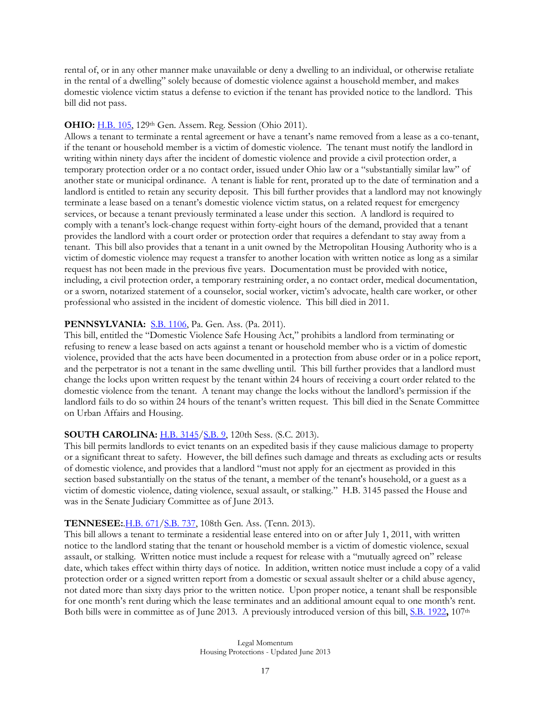rental of, or in any other manner make unavailable or deny a dwelling to an individual, or otherwise retaliate in the rental of a dwelling" solely because of domestic violence against a household member, and makes domestic violence victim status a defense to eviction if the tenant has provided notice to the landlord. This bill did not pass.

#### **OHIO: H.B. 105**, 129<sup>th</sup> Gen. Assem. Reg. Session (Ohio 2011).

Allows a tenant to terminate a rental agreement or have a tenant's name removed from a lease as a co-tenant, if the tenant or household member is a victim of domestic violence. The tenant must notify the landlord in writing within ninety days after the incident of domestic violence and provide a civil protection order, a temporary protection order or a no contact order, issued under Ohio law or a "substantially similar law" of another state or municipal ordinance. A tenant is liable for rent, prorated up to the date of termination and a landlord is entitled to retain any security deposit. This bill further provides that a landlord may not knowingly terminate a lease based on a tenant's domestic violence victim status, on a related request for emergency services, or because a tenant previously terminated a lease under this section. A landlord is required to comply with a tenant's lock-change request within forty-eight hours of the demand, provided that a tenant provides the landlord with a court order or protection order that requires a defendant to stay away from a tenant. This bill also provides that a tenant in a unit owned by the Metropolitan Housing Authority who is a victim of domestic violence may request a transfer to another location with written notice as long as a similar request has not been made in the previous five years. Documentation must be provided with notice, including, a civil protection order, a temporary restraining order, a no contact order, medical documentation, or a sworn, notarized statement of a counselor, social worker, victim's advocate, health care worker, or other professional who assisted in the incident of domestic violence. This bill died in 2011.

#### **PENNSYLVANIA:** [S.B. 1106,](http://www.legis.state.pa.us/CFDOCS/Legis/PN/Public/btCheck.cfm?txtType=PDF&sessYr=2011&sessInd=0&billBody=S&billTyp=B&billNbr=1106&pn=1484) Pa. Gen. Ass. (Pa. 2011).

This bill, entitled the "Domestic Violence Safe Housing Act," prohibits a landlord from terminating or refusing to renew a lease based on acts against a tenant or household member who is a victim of domestic violence, provided that the acts have been documented in a protection from abuse order or in a police report, and the perpetrator is not a tenant in the same dwelling until. This bill further provides that a landlord must change the locks upon written request by the tenant within 24 hours of receiving a court order related to the domestic violence from the tenant. A tenant may change the locks without the landlord's permission if the landlord fails to do so within 24 hours of the tenant's written request. This bill died in the Senate Committee on Urban Affairs and Housing.

#### **SOUTH CAROLINA: [H.B. 3145/](http://www.scstatehouse.gov/sess120_2013-2014/bills/3145.htm)[S.B. 9,](http://www.scstatehouse.gov/sess120_2013-2014/bills/9.htm) 120th Sess. (S.C. 2013).**

This bill permits landlords to evict tenants on an expedited basis if they cause malicious damage to property or a significant threat to safety. However, the bill defines such damage and threats as excluding acts or results of domestic violence, and provides that a landlord "must not apply for an ejectment as provided in this section based substantially on the status of the tenant, a member of the tenant's household, or a guest as a victim of domestic violence, dating violence, sexual assault, or stalking." H.B. 3145 passed the House and was in the Senate Judiciary Committee as of June 2013.

#### **TENNESEE:**[.H.B. 671/](http://www.capitol.tn.gov/Bills/108/Bill/HB0671.pdf)[S.B. 737,](http://www.capitol.tn.gov/Bills/108/Bill/SB0737.pdf) 108th Gen. Ass. (Tenn. 2013).

This bill allows a tenant to terminate a residential lease entered into on or after July 1, 2011, with written notice to the landlord stating that the tenant or household member is a victim of domestic violence, sexual assault, or stalking. Written notice must include a request for release with a "mutually agreed on" release date, which takes effect within thirty days of notice. In addition, written notice must include a copy of a valid protection order or a signed written report from a domestic or sexual assault shelter or a child abuse agency, not dated more than sixty days prior to the written notice. Upon proper notice, a tenant shall be responsible for one month's rent during which the lease terminates and an additional amount equal to one month's rent. Both bills were in committee as of June 2013. A previously introduced version of this bill, [S.B. 1922](http://www.capitol.tn.gov/Bills/107/Bill/SB1922.pdf), 107<sup>th</sup>